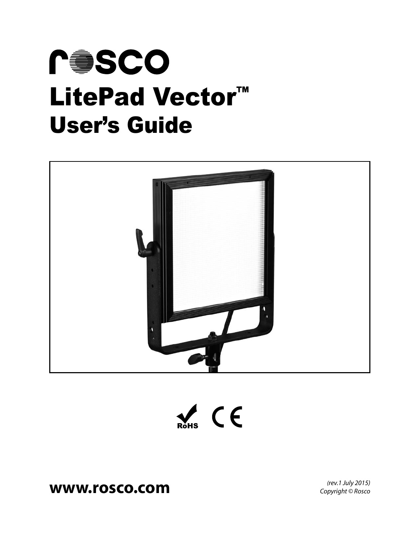





# **www.rosco.com** *(rev.1 July 2015)*

*Copyright © Rosco*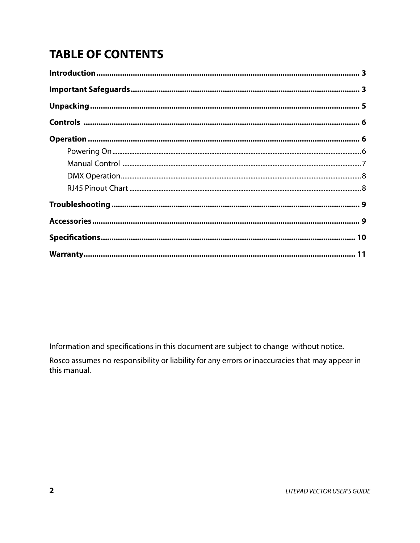# **TABLE OF CONTENTS**

Information and specifications in this document are subject to change without notice.

Rosco assumes no responsibility or liability for any errors or inaccuracies that may appear in this manual.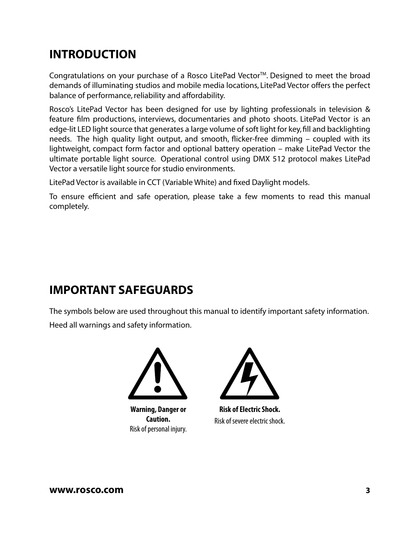# **INTRODUCTION**

Congratulations on your purchase of a Rosco LitePad Vector™. Designed to meet the broad demands of illuminating studios and mobile media locations, LitePad Vector offers the perfect balance of performance, reliability and affordability.

Rosco's LitePad Vector has been designed for use by lighting professionals in television & feature film productions, interviews, documentaries and photo shoots. LitePad Vector is an edge-lit LED light source that generates a large volume of soft light for key, fill and backlighting needs. The high quality light output, and smooth, flicker-free dimming – coupled with its lightweight, compact form factor and optional battery operation – make LitePad Vector the ultimate portable light source. Operational control using DMX 512 protocol makes LitePad Vector a versatile light source for studio environments.

LitePad Vector is available in CCT (Variable White) and fixed Daylight models.

To ensure efficient and safe operation, please take a few moments to read this manual completely.

# **IMPORTANT SAFEGUARDS**

The symbols below are used throughout this manual to identify important safety information. Heed all warnings and safety information.



**Warning, Danger or Caution.** Risk of personal injury.



**Risk of Electric Shock.** Risk of severe electric shock.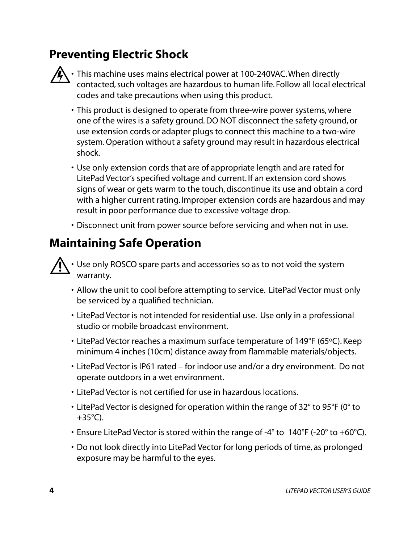# **Preventing Electric Shock**



 $\bigwedge \cdot$  This machine uses mains electrical power at 100-240VAC. When directly contacted, such voltages are hazardous to human life. Follow all local electrical codes and take precautions when using this product.

- This product is designed to operate from three-wire power systems, where one of the wires is a safety ground. DO NOT disconnect the safety ground, or use extension cords or adapter plugs to connect this machine to a two-wire system. Operation without a safety ground may result in hazardous electrical shock.
- Use only extension cords that are of appropriate length and are rated for LitePad Vector's specified voltage and current. If an extension cord shows signs of wear or gets warm to the touch, discontinue its use and obtain a cord with a higher current rating. Improper extension cords are hazardous and may result in poor performance due to excessive voltage drop.
- Disconnect unit from power source before servicing and when not in use.

# **Maintaining Safe Operation**

• Use only ROSCO spare parts and accessories so as to not void the system warranty.

- Allow the unit to cool before attempting to service. LitePad Vector must only be serviced by a qualified technician.
- LitePad Vector is not intended for residential use. Use only in a professional studio or mobile broadcast environment.
- LitePad Vector reaches a maximum surface temperature of 149°F (65ºC). Keep minimum 4 inches (10cm) distance away from flammable materials/objects.
- LitePad Vector is IP61 rated for indoor use and/or a dry environment. Do not operate outdoors in a wet environment.
- LitePad Vector is not certified for use in hazardous locations.
- LitePad Vector is designed for operation within the range of 32° to 95°F (0° to  $+35^{\circ}$ C).
- Ensure LitePad Vector is stored within the range of -4° to 140°F (-20° to +60°C).
- Do not look directly into LitePad Vector for long periods of time, as prolonged exposure may be harmful to the eyes.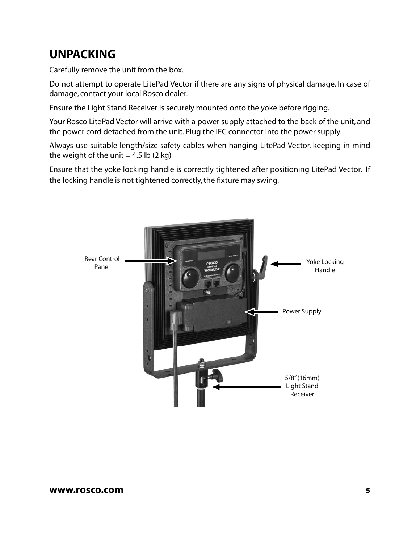# **UNPACKING**

Carefully remove the unit from the box.

Do not attempt to operate LitePad Vector if there are any signs of physical damage. In case of damage, contact your local Rosco dealer.

Ensure the Light Stand Receiver is securely mounted onto the yoke before rigging.

Your Rosco LitePad Vector will arrive with a power supply attached to the back of the unit, and the power cord detached from the unit. Plug the IEC connector into the power supply.

Always use suitable length/size safety cables when hanging LitePad Vector, keeping in mind the weight of the unit  $= 4.5$  lb (2 kg)

Ensure that the yoke locking handle is correctly tightened after positioning LitePad Vector. If the locking handle is not tightened correctly, the fixture may swing.

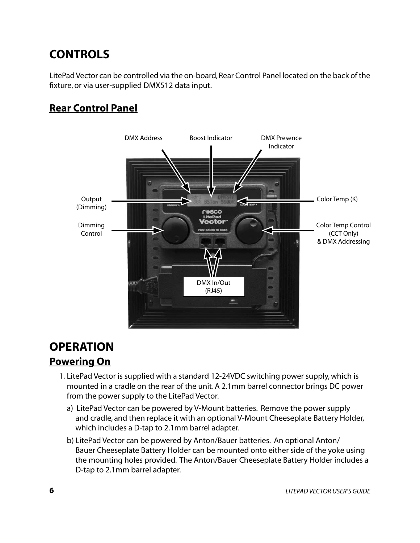# **CONTROLS**

LitePad Vector can be controlled via the on-board, Rear Control Panel located on the back of the fixture, or via user-supplied DMX512 data input.

## **Rear Control Panel**



# **OPERATION Powering On**

- 1. LitePad Vector is supplied with a standard 12-24VDC switching power supply, which is mounted in a cradle on the rear of the unit. A 2.1mm barrel connector brings DC power from the power supply to the LitePad Vector.
	- a) LitePad Vector can be powered by V-Mount batteries. Remove the power supply and cradle, and then replace it with an optional V-Mount Cheeseplate Battery Holder, which includes a D-tap to 2.1mm barrel adapter.
	- b) LitePad Vector can be powered by Anton/Bauer batteries. An optional Anton/ Bauer Cheeseplate Battery Holder can be mounted onto either side of the yoke using the mounting holes provided. The Anton/Bauer Cheeseplate Battery Holder includes a D-tap to 2.1mm barrel adapter.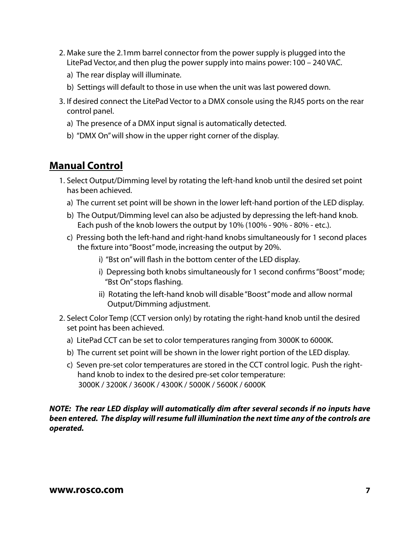- 2. Make sure the 2.1mm barrel connector from the power supply is plugged into the LitePad Vector, and then plug the power supply into mains power: 100 – 240 VAC.
	- a) The rear display will illuminate.
	- b) Settings will default to those in use when the unit was last powered down.
- 3. If desired connect the LitePad Vector to a DMX console using the RJ45 ports on the rear control panel.
	- a) The presence of a DMX input signal is automatically detected.
	- b) "DMX On" will show in the upper right corner of the display.

### **Manual Control**

- 1. Select Output/Dimming level by rotating the left-hand knob until the desired set point has been achieved.
	- a) The current set point will be shown in the lower left-hand portion of the LED display.
	- b) The Output/Dimming level can also be adjusted by depressing the left-hand knob. Each push of the knob lowers the output by 10% (100% - 90% - 80% - etc.).
	- c) Pressing both the left-hand and right-hand knobs simultaneously for 1 second places the fixture into "Boost" mode, increasing the output by 20%.
		- i) "Bst on" will flash in the bottom center of the LED display.
		- i) Depressing both knobs simultaneously for 1 second confirms "Boost" mode; "Bst On" stops flashing.
		- ii) Rotating the left-hand knob will disable "Boost" mode and allow normal Output/Dimming adjustment.
- 2. Select Color Temp (CCT version only) by rotating the right-hand knob until the desired set point has been achieved.
	- a) LitePad CCT can be set to color temperatures ranging from 3000K to 6000K.
	- b) The current set point will be shown in the lower right portion of the LED display.
	- c) Seven pre-set color temperatures are stored in the CCT control logic. Push the right hand knob to index to the desired pre-set color temperature: 3000K / 3200K / 3600K / 4300K / 5000K / 5600K / 6000K

#### *NOTE: The rear LED display will automatically dim after several seconds if no inputs have been entered. The display will resume full illumination the next time any of the controls are operated.*

#### **www.rosco.com 7**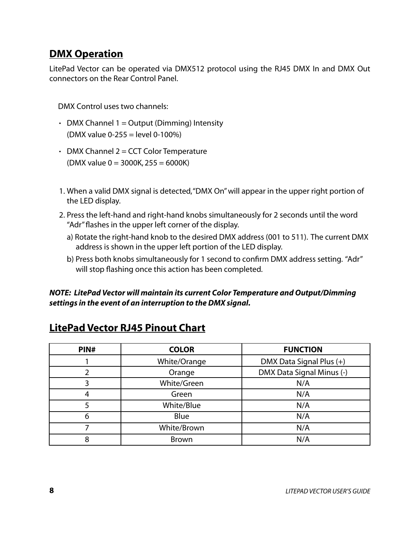### **DMX Operation**

LitePad Vector can be operated via DMX512 protocol using the RJ45 DMX In and DMX Out connectors on the Rear Control Panel.

DMX Control uses two channels:

- DMX Channel  $1 =$  Output (Dimming) Intensity (DMX value 0-255 = level 0-100%)
- $\cdot$  DMX Channel 2 = CCT Color Temperature  $(DMX value 0 = 3000K, 255 = 6000K)$
- 1. When a valid DMX signal is detected, "DMX On" will appear in the upper right portion of the LED display.
- 2. Press the left-hand and right-hand knobs simultaneously for 2 seconds until the word "Adr" flashes in the upper left corner of the display.
	- a) Rotate the right-hand knob to the desired DMX address (001 to 511). The current DMX address is shown in the upper left portion of the LED display.
	- b) Press both knobs simultaneously for 1 second to confirm DMX address setting. "Adr" will stop flashing once this action has been completed.

#### *NOTE: LitePad Vector will maintain its current Color Temperature and Output/Dimming settings in the event of an interruption to the DMX signal.*

| PIN# | <b>COLOR</b> | <b>FUNCTION</b>           |
|------|--------------|---------------------------|
|      | White/Orange | DMX Data Signal Plus (+)  |
|      | Orange       | DMX Data Signal Minus (-) |
|      | White/Green  | N/A                       |
| 4    | Green        | N/A                       |
| 5    | White/Blue   | N/A                       |
| 6    | Blue         | N/A                       |
|      | White/Brown  | N/A                       |
| 8    | <b>Brown</b> | N/A                       |

### **LitePad Vector RJ45 Pinout Chart**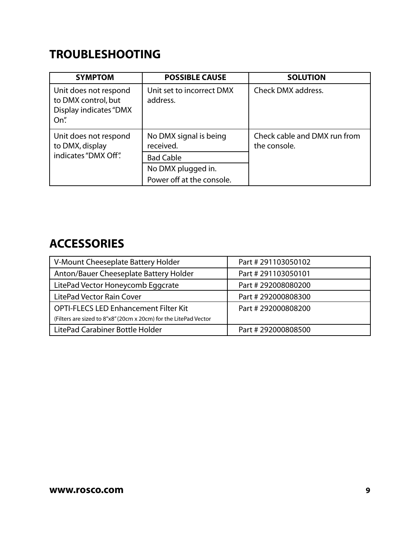# **TROUBLESHOOTING**

| <b>SYMPTOM</b>                                                                        | <b>POSSIBLE CAUSE</b>                 | <b>SOLUTION</b>                              |
|---------------------------------------------------------------------------------------|---------------------------------------|----------------------------------------------|
| Unit does not respond<br>to DMX control, but<br><b>Display indicates "DMX</b><br>On". | Unit set to incorrect DMX<br>address. | Check DMX address.                           |
| Unit does not respond<br>to DMX, display<br>indicates "DMX Off".                      | No DMX signal is being<br>received.   | Check cable and DMX run from<br>the console. |
|                                                                                       | <b>Bad Cable</b>                      |                                              |
|                                                                                       | No DMX plugged in.                    |                                              |
|                                                                                       | Power off at the console.             |                                              |

## **ACCESSORIES**

| V-Mount Cheeseplate Battery Holder                               | Part #291103050102  |
|------------------------------------------------------------------|---------------------|
| Anton/Bauer Cheeseplate Battery Holder                           | Part #291103050101  |
| LitePad Vector Honeycomb Eggcrate                                | Part # 292008080200 |
| LitePad Vector Rain Cover                                        | Part # 292000808300 |
| <b>OPTI-FLECS LED Enhancement Filter Kit</b>                     | Part #292000808200  |
| (Filters are sized to 8"x8" (20cm x 20cm) for the LitePad Vector |                     |
| LitePad Carabiner Bottle Holder                                  | Part #292000808500  |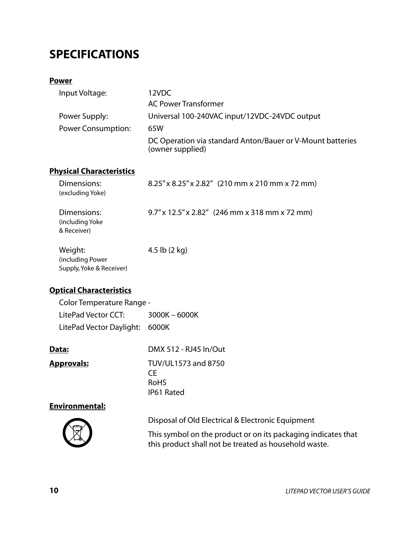# **SPECIFICATIONS**

#### **Power**

| Input Voltage:     | 12VDC                                                                          |
|--------------------|--------------------------------------------------------------------------------|
|                    | <b>AC Power Transformer</b>                                                    |
| Power Supply:      | Universal 100-240VAC input/12VDC-24VDC output                                  |
| Power Consumption: | 65W                                                                            |
|                    | DC Operation via standard Anton/Bauer or V-Mount batteries<br>(owner supplied) |

### **Physical Characteristics**

| Dimensions:<br>(excluding Yoke)                         | $8.25''$ x $8.25''$ x $2.82''$ (210 mm x 210 mm x 72 mm) |
|---------------------------------------------------------|----------------------------------------------------------|
| Dimensions:<br>(including Yoke)<br>& Receiver)          | $9.7''$ x 12.5" x 2.82" (246 mm x 318 mm x 72 mm)        |
| Weight:<br>(including Power<br>Supply, Yoke & Receiver) | 4.5 lb $(2 \text{ kg})$                                  |

### **Optical Characteristics**

| Color Temperature Range -      |                 |
|--------------------------------|-----------------|
| LitePad Vector CCT:            | $3000K - 6000K$ |
| LitePad Vector Daylight: 6000K |                 |

| Data:             | DMX 512 - RJ45 In/Out                                   |
|-------------------|---------------------------------------------------------|
| <b>Approvals:</b> | TUV/UL1573 and 8750<br>CF.<br><b>RoHS</b><br>IP61 Rated |
|                   |                                                         |

#### **Environmental:**



Disposal of Old Electrical & Electronic Equipment

 This symbol on the product or on its packaging indicates that this product shall not be treated as household waste.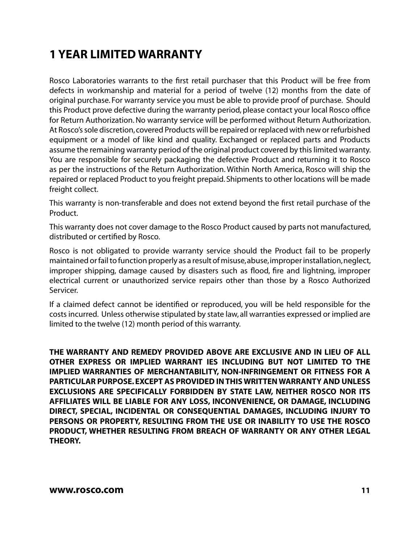# **1 YEAR LIMITED WARRANTY**

Rosco Laboratories warrants to the first retail purchaser that this Product will be free from defects in workmanship and material for a period of twelve (12) months from the date of original purchase. For warranty service you must be able to provide proof of purchase. Should this Product prove defective during the warranty period, please contact your local Rosco office for Return Authorization. No warranty service will be performed without Return Authorization. At Rosco's sole discretion, covered Products will be repaired or replaced with new or refurbished equipment or a model of like kind and quality. Exchanged or replaced parts and Products assume the remaining warranty period of the original product covered by this limited warranty. You are responsible for securely packaging the defective Product and returning it to Rosco as per the instructions of the Return Authorization. Within North America, Rosco will ship the repaired or replaced Product to you freight prepaid. Shipments to other locations will be made freight collect.

This warranty is non-transferable and does not extend beyond the first retail purchase of the Product.

This warranty does not cover damage to the Rosco Product caused by parts not manufactured, distributed or certified by Rosco.

Rosco is not obligated to provide warranty service should the Product fail to be properly maintained or fail to function properly as a result of misuse, abuse, improper installation, neglect, improper shipping, damage caused by disasters such as flood, fire and lightning, improper electrical current or unauthorized service repairs other than those by a Rosco Authorized Servicer.

If a claimed defect cannot be identified or reproduced, you will be held responsible for the costs incurred. Unless otherwise stipulated by state law, all warranties expressed or implied are limited to the twelve (12) month period of this warranty.

**THE WARRANTY AND REMEDY PROVIDED ABOVE ARE EXCLUSIVE AND IN LIEU OF ALL OTHER EXPRESS OR IMPLIED WARRANT IES INCLUDING BUT NOT LIMITED TO THE IMPLIED WARRANTIES OF MERCHANTABILITY, NON-INFRINGEMENT OR FITNESS FOR A PARTICULAR PURPOSE. EXCEPT AS PROVIDED IN THIS WRITTEN WARRANTY AND UNLESS EXCLUSIONS ARE SPECIFICALLY FORBIDDEN BY STATE LAW, NEITHER ROSCO NOR ITS AFFILIATES WILL BE LIABLE FOR ANY LOSS, INCONVENIENCE, OR DAMAGE, INCLUDING DIRECT, SPECIAL, INCIDENTAL OR CONSEQUENTIAL DAMAGES, INCLUDING INJURY TO PERSONS OR PROPERTY, RESULTING FROM THE USE OR INABILITY TO USE THE ROSCO PRODUCT, WHETHER RESULTING FROM BREACH OF WARRANTY OR ANY OTHER LEGAL THEORY.**